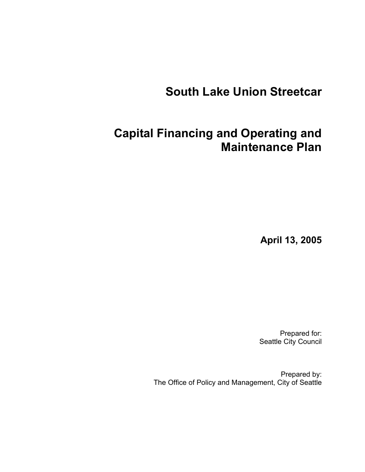# **South Lake Union Streetcar**

# **Capital Financing and Operating and Maintenance Plan**

**April 13, 2005** 

Prepared for: Seattle City Council

Prepared by: The Office of Policy and Management, City of Seattle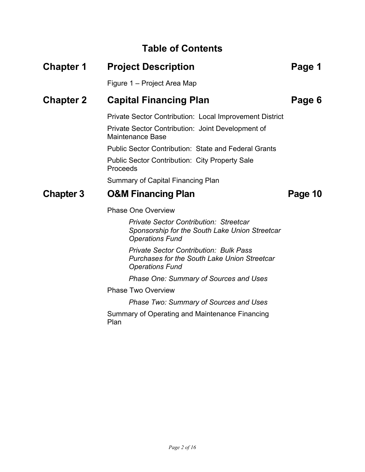### **Table of Contents**

## **Chapter 1 Project Description Chapter 1 Page 1** Figure 1 – Project Area Map **Chapter 2 Capital Financing Plan Page 6 Page 6** Private Sector Contribution: Local Improvement District Private Sector Contribution: Joint Development of Maintenance Base Public Sector Contribution: State and Federal Grants Public Sector Contribution: City Property Sale Proceeds Summary of Capital Financing Plan **Chapter 3 O&M Financing Plan Page 10 Page 10** Phase One Overview *Private Sector Contribution: Streetcar Sponsorship for the South Lake Union Streetcar Operations Fund*

*Private Sector Contribution: Bulk Pass Purchases for the South Lake Union Streetcar Operations Fund* 

*Phase One: Summary of Sources and Uses* 

Phase Two Overview

*Phase Two: Summary of Sources and Uses* 

Summary of Operating and Maintenance Financing Plan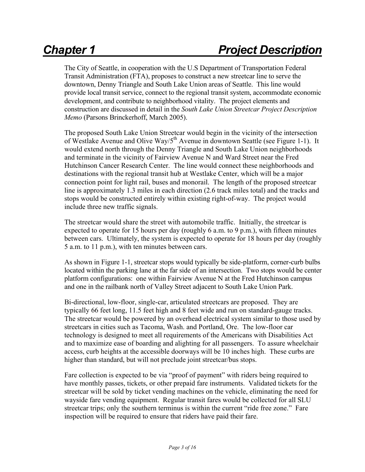The City of Seattle, in cooperation with the U.S Department of Transportation Federal Transit Administration (FTA), proposes to construct a new streetcar line to serve the downtown, Denny Triangle and South Lake Union areas of Seattle. This line would provide local transit service, connect to the regional transit system, accommodate economic development, and contribute to neighborhood vitality. The project elements and construction are discussed in detail in the *South Lake Union Streetcar Project Description Memo* (Parsons Brinckerhoff, March 2005).

The proposed South Lake Union Streetcar would begin in the vicinity of the intersection of Westlake Avenue and Olive Way/5<sup>th</sup> Avenue in downtown Seattle (see Figure 1-1). It would extend north through the Denny Triangle and South Lake Union neighborhoods and terminate in the vicinity of Fairview Avenue N and Ward Street near the Fred Hutchinson Cancer Research Center. The line would connect these neighborhoods and destinations with the regional transit hub at Westlake Center, which will be a major connection point for light rail, buses and monorail. The length of the proposed streetcar line is approximately 1.3 miles in each direction (2.6 track miles total) and the tracks and stops would be constructed entirely within existing right-of-way. The project would include three new traffic signals.

The streetcar would share the street with automobile traffic. Initially, the streetcar is expected to operate for 15 hours per day (roughly 6 a.m. to 9 p.m.), with fifteen minutes between cars. Ultimately, the system is expected to operate for 18 hours per day (roughly 5 a.m. to 11 p.m.), with ten minutes between cars.

As shown in Figure 1-1, streetcar stops would typically be side-platform, corner-curb bulbs located within the parking lane at the far side of an intersection. Two stops would be center platform configurations: one within Fairview Avenue N at the Fred Hutchinson campus and one in the railbank north of Valley Street adjacent to South Lake Union Park.

Bi-directional, low-floor, single-car, articulated streetcars are proposed. They are typically 66 feet long, 11.5 feet high and 8 feet wide and run on standard-gauge tracks. The streetcar would be powered by an overhead electrical system similar to those used by streetcars in cities such as Tacoma, Wash. and Portland, Ore. The low-floor car technology is designed to meet all requirements of the Americans with Disabilities Act and to maximize ease of boarding and alighting for all passengers. To assure wheelchair access, curb heights at the accessible doorways will be 10 inches high. These curbs are higher than standard, but will not preclude joint streetcar/bus stops.

Fare collection is expected to be via "proof of payment" with riders being required to have monthly passes, tickets, or other prepaid fare instruments. Validated tickets for the streetcar will be sold by ticket vending machines on the vehicle, eliminating the need for wayside fare vending equipment. Regular transit fares would be collected for all SLU streetcar trips; only the southern terminus is within the current "ride free zone." Fare inspection will be required to ensure that riders have paid their fare.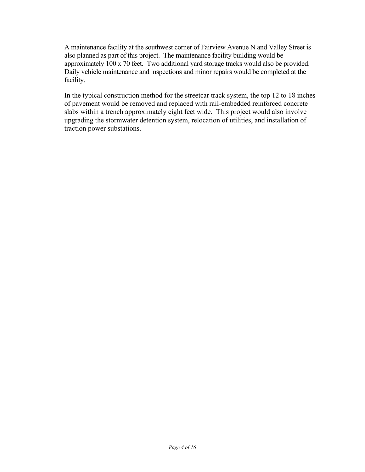A maintenance facility at the southwest corner of Fairview Avenue N and Valley Street is also planned as part of this project. The maintenance facility building would be approximately 100 x 70 feet. Two additional yard storage tracks would also be provided. Daily vehicle maintenance and inspections and minor repairs would be completed at the facility.

In the typical construction method for the streetcar track system, the top 12 to 18 inches of pavement would be removed and replaced with rail-embedded reinforced concrete slabs within a trench approximately eight feet wide. This project would also involve upgrading the stormwater detention system, relocation of utilities, and installation of traction power substations.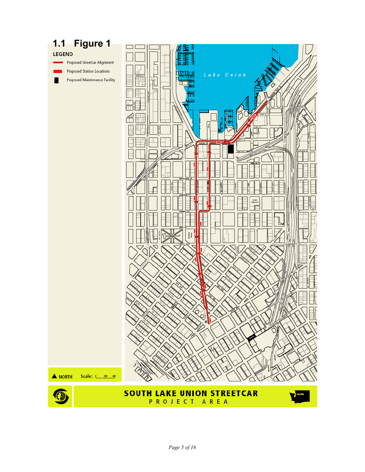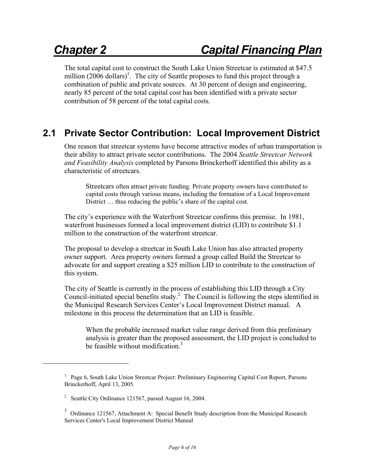The total capital cost to construct the South Lake Union Streetcar is estimated at \$47.5 million  $(2006 \text{ dollars})^1$ . The city of Seattle proposes to fund this project through a combination of public and private sources. At 30 percent of design and engineering, nearly 85 percent of the total capital cost has been identified with a private sector contribution of 58 percent of the total capital costs.

## **2.1 Private Sector Contribution: Local Improvement District**

One reason that streetcar systems have become attractive modes of urban transportation is their ability to attract private sector contributions. The 2004 *Seattle Streetcar Network and Feasibility Analysis* completed by Parsons Brinckerhoff identified this ability as a characteristic of streetcars.

Streetcars often attract private funding. Private property owners have contributed to capital costs through various means, including the formation of a Local Improvement District ... thus reducing the public's share of the capital cost.

The city's experience with the Waterfront Streetcar confirms this premise. In 1981, waterfront businesses formed a local improvement district (LID) to contribute \$1.1 million to the construction of the waterfront streetcar.

The proposal to develop a streetcar in South Lake Union has also attracted property owner support. Area property owners formed a group called Build the Streetcar to advocate for and support creating a \$25 million LID to contribute to the construction of this system.

The city of Seattle is currently in the process of establishing this LID through a City Council-initiated special benefits study.<sup>2</sup> The Council is following the steps identified in the Municipal Research Services Center's Local Improvement District manual. A milestone in this process the determination that an LID is feasible.

When the probable increased market value range derived from this preliminary analysis is greater than the proposed assessment, the LID project is concluded to be feasible without modification  $3$ 

<sup>&</sup>lt;sup>1</sup> Page 6, South Lake Union Streetcar Project: Preliminary Engineering Capital Cost Report, Parsons Brinckerhoff, April 13, 2005.

<sup>&</sup>lt;sup>2</sup> Seattle City Ordinance 121567, passed August 16, 2004.

 $3$  Ordinance 121567, Attachment A: Special Benefit Study description from the Municipal Research Services Center's Local Improvement District Manual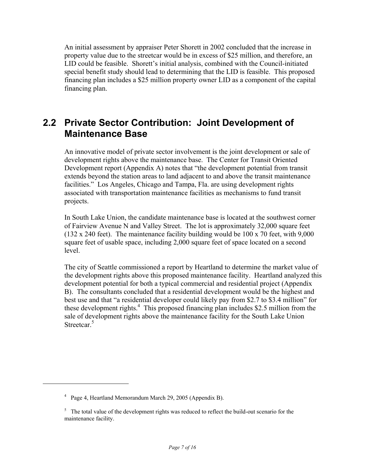An initial assessment by appraiser Peter Shorett in 2002 concluded that the increase in property value due to the streetcar would be in excess of \$25 million, and therefore, an LID could be feasible. Shorett's initial analysis, combined with the Council-initiated special benefit study should lead to determining that the LID is feasible. This proposed financing plan includes a \$25 million property owner LID as a component of the capital financing plan.

### **2.2 Private Sector Contribution: Joint Development of Maintenance Base**

An innovative model of private sector involvement is the joint development or sale of development rights above the maintenance base. The Center for Transit Oriented Development report (Appendix A) notes that "the development potential from transit extends beyond the station areas to land adjacent to and above the transit maintenance facilities." Los Angeles, Chicago and Tampa, Fla. are using development rights associated with transportation maintenance facilities as mechanisms to fund transit projects.

In South Lake Union, the candidate maintenance base is located at the southwest corner of Fairview Avenue N and Valley Street. The lot is approximately 32,000 square feet (132 x 240 feet). The maintenance facility building would be 100 x 70 feet, with 9,000 square feet of usable space, including 2,000 square feet of space located on a second level.

The city of Seattle commissioned a report by Heartland to determine the market value of the development rights above this proposed maintenance facility. Heartland analyzed this development potential for both a typical commercial and residential project (Appendix B). The consultants concluded that a residential development would be the highest and best use and that "a residential developer could likely pay from \$2.7 to \$3.4 million" for these development rights.<sup>4</sup> This proposed financing plan includes \$2.5 million from the sale of development rights above the maintenance facility for the South Lake Union Streetcar.<sup>5</sup>

<sup>&</sup>lt;sup>4</sup> Page 4, Heartland Memorandum March 29, 2005 (Appendix B).

<sup>&</sup>lt;sup>5</sup> The total value of the development rights was reduced to reflect the build-out scenario for the maintenance facility.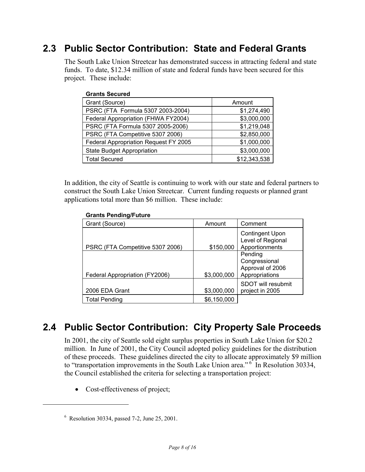## **2.3 Public Sector Contribution: State and Federal Grants**

The South Lake Union Streetcar has demonstrated success in attracting federal and state funds. To date, \$12.34 million of state and federal funds have been secured for this project. These include:

| <b>Grants Secured</b>                 |              |
|---------------------------------------|--------------|
| Grant (Source)                        | Amount       |
| PSRC (FTA Formula 5307 2003-2004)     | \$1,274,490  |
| Federal Appropriation (FHWA FY2004)   | \$3,000,000  |
| PSRC (FTA Formula 5307 2005-2006)     | \$1,219,048  |
| PSRC (FTA Competitive 5307 2006)      | \$2,850,000  |
| Federal Appropriation Request FY 2005 | \$1,000,000  |
| <b>State Budget Appropriation</b>     | \$3,000,000  |
| <b>Total Secured</b>                  | \$12,343,538 |

In addition, the city of Seattle is continuing to work with our state and federal partners to construct the South Lake Union Streetcar. Current funding requests or planned grant applications total more than \$6 million. These include:

| Grant (Source)                   | Amount      | Comment                                                        |
|----------------------------------|-------------|----------------------------------------------------------------|
| PSRC (FTA Competitive 5307 2006) | \$150,000   | <b>Contingent Upon</b><br>Level of Regional<br>Apportionments  |
| Federal Appropriation (FY2006)   | \$3,000,000 | Pending<br>Congressional<br>Approval of 2006<br>Appropriations |
| 2006 EDA Grant                   | \$3,000,000 | SDOT will resubmit<br>project in 2005                          |
| <b>Total Pending</b>             | \$6,150,000 |                                                                |

### **Grants Pending/Future**

## **2.4 Public Sector Contribution: City Property Sale Proceeds**

In 2001, the city of Seattle sold eight surplus properties in South Lake Union for \$20.2 million. In June of 2001, the City Council adopted policy guidelines for the distribution of these proceeds. These guidelines directed the city to allocate approximately \$9 million to "transportation improvements in the South Lake Union area." <sup>6</sup> In Resolution 30334, the Council established the criteria for selecting a transportation project:

• Cost-effectiveness of project;

<u>.</u>

<sup>6</sup> Resolution 30334, passed 7-2, June 25, 2001.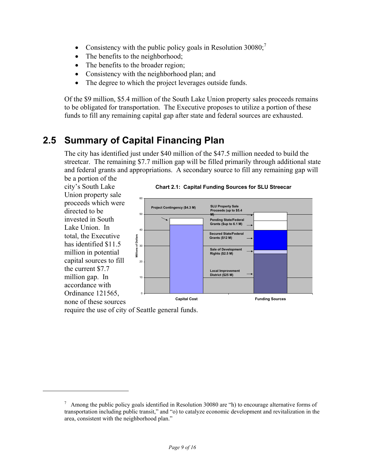- Consistency with the public policy goals in Resolution  $30080$ ;
- The benefits to the neighborhood;
- The benefits to the broader region;
- Consistency with the neighborhood plan; and
- The degree to which the project leverages outside funds.

Of the \$9 million, \$5.4 million of the South Lake Union property sales proceeds remains to be obligated for transportation. The Executive proposes to utilize a portion of these funds to fill any remaining capital gap after state and federal sources are exhausted.

## **2.5 Summary of Capital Financing Plan**

The city has identified just under \$40 million of the \$47.5 million needed to build the streetcar. The remaining \$7.7 million gap will be filled primarily through additional state and federal grants and appropriations. A secondary source to fill any remaining gap will be a portion of the



require the use of city of Seattle general funds.

 $^7$  Among the public policy goals identified in Resolution 30080 are "h) to encourage alternative forms of transportation including public transit," and "o) to catalyze economic development and revitalization in the area, consistent with the neighborhood plan."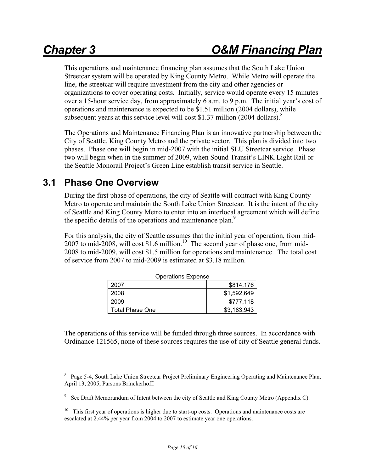$\overline{a}$ 

This operations and maintenance financing plan assumes that the South Lake Union Streetcar system will be operated by King County Metro. While Metro will operate the line, the streetcar will require investment from the city and other agencies or organizations to cover operating costs. Initially, service would operate every 15 minutes over a 15-hour service day, from approximately 6 a.m. to 9 p.m. The initial year's cost of operations and maintenance is expected to be \$1.51 million (2004 dollars), while subsequent years at this service level will cost \$1.37 million (2004 dollars).<sup>8</sup>

The Operations and Maintenance Financing Plan is an innovative partnership between the City of Seattle, King County Metro and the private sector. This plan is divided into two phases. Phase one will begin in mid-2007 with the initial SLU Streetcar service. Phase two will begin when in the summer of 2009, when Sound Transit's LINK Light Rail or the Seattle Monorail Project's Green Line establish transit service in Seattle.

### **3.1 Phase One Overview**

During the first phase of operations, the city of Seattle will contract with King County Metro to operate and maintain the South Lake Union Streetcar. It is the intent of the city of Seattle and King County Metro to enter into an interlocal agreement which will define the specific details of the operations and maintenance plan.<sup>9</sup>

For this analysis, the city of Seattle assumes that the initial year of operation, from mid-2007 to mid-2008, will cost \$1.6 million.<sup>10</sup> The second year of phase one, from mid-2008 to mid-2009, will cost \$1.5 million for operations and maintenance. The total cost of service from 2007 to mid-2009 is estimated at \$3.18 million.

| <b>Operations Expense</b> |             |  |  |  |  |
|---------------------------|-------------|--|--|--|--|
| 2007                      | \$814,176   |  |  |  |  |
| 2008                      | \$1,592,649 |  |  |  |  |
| 2009                      | \$777,118   |  |  |  |  |
| <b>Total Phase One</b>    | \$3,183,943 |  |  |  |  |

The operations of this service will be funded through three sources. In accordance with Ordinance 121565, none of these sources requires the use of city of Seattle general funds.

<sup>&</sup>lt;sup>8</sup> Page 5-4, South Lake Union Streetcar Project Preliminary Engineering Operating and Maintenance Plan, April 13, 2005, Parsons Brinckerhoff.

<sup>&</sup>lt;sup>9</sup> See Draft Memorandum of Intent between the city of Seattle and King County Metro (Appendix C).

 $10$  This first year of operations is higher due to start-up costs. Operations and maintenance costs are escalated at 2.44% per year from 2004 to 2007 to estimate year one operations.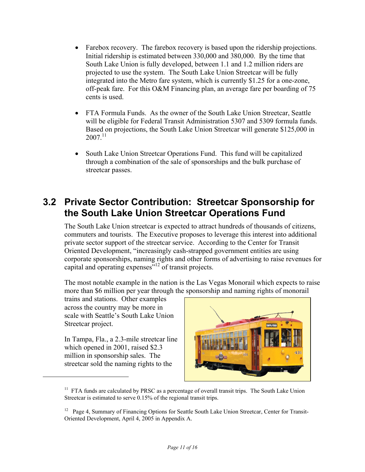- Farebox recovery. The farebox recovery is based upon the ridership projections. Initial ridership is estimated between 330,000 and 380,000. By the time that South Lake Union is fully developed, between 1.1 and 1.2 million riders are projected to use the system. The South Lake Union Streetcar will be fully integrated into the Metro fare system, which is currently \$1.25 for a one-zone, off-peak fare. For this O&M Financing plan, an average fare per boarding of 75 cents is used.
- FTA Formula Funds. As the owner of the South Lake Union Streetcar, Seattle will be eligible for Federal Transit Administration 5307 and 5309 formula funds. Based on projections, the South Lake Union Streetcar will generate \$125,000 in  $2007^{11}$
- South Lake Union Streetcar Operations Fund. This fund will be capitalized through a combination of the sale of sponsorships and the bulk purchase of streetcar passes.

### **3.2 Private Sector Contribution: Streetcar Sponsorship for the South Lake Union Streetcar Operations Fund**

The South Lake Union streetcar is expected to attract hundreds of thousands of citizens, commuters and tourists. The Executive proposes to leverage this interest into additional private sector support of the streetcar service. According to the Center for Transit Oriented Development, "increasingly cash-strapped government entities are using corporate sponsorships, naming rights and other forms of advertising to raise revenues for capital and operating expenses<sup>512</sup> of transit projects.

The most notable example in the nation is the Las Vegas Monorail which expects to raise more than \$6 million per year through the sponsorship and naming rights of monorail

trains and stations. Other examples across the country may be more in scale with Seattle's South Lake Union Streetcar project.

In Tampa, Fla., a 2.3-mile streetcar line which opened in 2001, raised \$2.3 million in sponsorship sales. The streetcar sold the naming rights to the

<u>.</u>



 $11$  FTA funds are calculated by PRSC as a percentage of overall transit trips. The South Lake Union Streetcar is estimated to serve 0.15% of the regional transit trips.

<sup>&</sup>lt;sup>12</sup> Page 4, Summary of Financing Options for Seattle South Lake Union Streetcar, Center for Transit-Oriented Development, April 4, 2005 in Appendix A.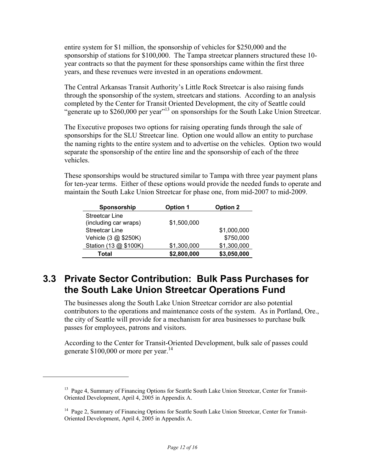entire system for \$1 million, the sponsorship of vehicles for \$250,000 and the sponsorship of stations for \$100,000. The Tampa streetcar planners structured these 10 year contracts so that the payment for these sponsorships came within the first three years, and these revenues were invested in an operations endowment.

The Central Arkansas Transit Authority's Little Rock Streetcar is also raising funds through the sponsorship of the system, streetcars and stations. According to an analysis completed by the Center for Transit Oriented Development, the city of Seattle could "generate up to \$260,000 per year"13 on sponsorships for the South Lake Union Streetcar.

The Executive proposes two options for raising operating funds through the sale of sponsorships for the SLU Streetcar line. Option one would allow an entity to purchase the naming rights to the entire system and to advertise on the vehicles. Option two would separate the sponsorship of the entire line and the sponsorship of each of the three vehicles.

These sponsorships would be structured similar to Tampa with three year payment plans for ten-year terms. Either of these options would provide the needed funds to operate and maintain the South Lake Union Streetcar for phase one, from mid-2007 to mid-2009.

| Sponsorship           | <b>Option 1</b> | <b>Option 2</b> |
|-----------------------|-----------------|-----------------|
| <b>Streetcar Line</b> |                 |                 |
| (including car wraps) | \$1,500,000     |                 |
| Streetcar Line        |                 | \$1,000,000     |
| Vehicle (3 @ \$250K)  |                 | \$750,000       |
| Station (13 @ \$100K) | \$1,300,000     | \$1,300,000     |
| Total                 | \$2,800,000     | \$3,050,000     |

### **3.3 Private Sector Contribution: Bulk Pass Purchases for the South Lake Union Streetcar Operations Fund**

The businesses along the South Lake Union Streetcar corridor are also potential contributors to the operations and maintenance costs of the system. As in Portland, Ore., the city of Seattle will provide for a mechanism for area businesses to purchase bulk passes for employees, patrons and visitors.

According to the Center for Transit-Oriented Development, bulk sale of passes could generate  $$100,000$  or more per year.<sup>14</sup>

<sup>&</sup>lt;sup>13</sup> Page 4, Summary of Financing Options for Seattle South Lake Union Streetcar, Center for Transit-Oriented Development, April 4, 2005 in Appendix A.

<sup>&</sup>lt;sup>14</sup> Page 2, Summary of Financing Options for Seattle South Lake Union Streetcar, Center for Transit-Oriented Development, April 4, 2005 in Appendix A.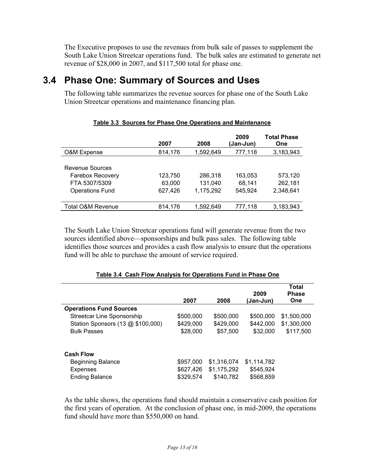The Executive proposes to use the revenues from bulk sale of passes to supplement the South Lake Union Streetcar operations fund. The bulk sales are estimated to generate net revenue of \$28,000 in 2007, and \$117,500 total for phase one.

### **3.4 Phase One: Summary of Sources and Uses**

The following table summarizes the revenue sources for phase one of the South Lake Union Streetcar operations and maintenance financing plan.

|                                                                                       | 2007                         | 2008                            | 2009<br>(Jan-Jun)            | <b>Total Phase</b><br><b>One</b> |
|---------------------------------------------------------------------------------------|------------------------------|---------------------------------|------------------------------|----------------------------------|
| O&M Expense                                                                           | 814,176                      | 1,592,649                       | 777,118                      | 3,183,943                        |
| Revenue Sources<br><b>Farebox Recovery</b><br>FTA 5307/5309<br><b>Operations Fund</b> | 123,750<br>63,000<br>627,426 | 286,318<br>131.040<br>1,175,292 | 163,053<br>68.141<br>545.924 | 573,120<br>262,181<br>2,348,641  |
| Total O&M Revenue                                                                     | 814,176                      | 1,592,649                       | 777,118                      | 3,183,943                        |

### **Table 3.3 Sources for Phase One Operations and Maintenance**

The South Lake Union Streetcar operations fund will generate revenue from the two sources identified above—sponsorships and bulk pass sales. The following table identifies those sources and provides a cash flow analysis to ensure that the operations fund will be able to purchase the amount of service required.

|                                   |           |             | 2009        | Total<br><b>Phase</b> |
|-----------------------------------|-----------|-------------|-------------|-----------------------|
|                                   | 2007      | 2008        | (Jan-Jun)   | <b>One</b>            |
| <b>Operations Fund Sources</b>    |           |             |             |                       |
| Streetcar Line Sponsorship        | \$500,000 | \$500,000   | \$500,000   | \$1,500,000           |
| Station Sponsors (13 @ \$100,000) | \$429,000 | \$429,000   | \$442,000   | \$1,300,000           |
| <b>Bulk Passes</b>                | \$28,000  | \$57,500    | \$32,000    | \$117,500             |
| <b>Cash Flow</b>                  |           |             |             |                       |
| <b>Beginning Balance</b>          | \$957,000 | \$1,316,074 | \$1,114,782 |                       |
| <b>Expenses</b>                   | \$627,426 | \$1,175,292 | \$545,924   |                       |
| <b>Ending Balance</b>             | \$329,574 | \$140,782   | \$568,859   |                       |

### **Table 3.4 Cash Flow Analysis for Operations Fund in Phase One**

As the table shows, the operations fund should maintain a conservative cash position for the first years of operation. At the conclusion of phase one, in mid-2009, the operations fund should have more than \$550,000 on hand.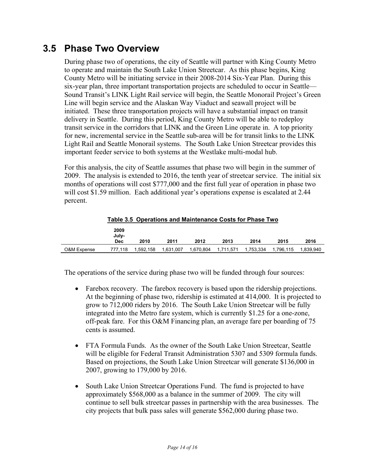### **3.5 Phase Two Overview**

During phase two of operations, the city of Seattle will partner with King County Metro to operate and maintain the South Lake Union Streetcar. As this phase begins, King County Metro will be initiating service in their 2008-2014 Six-Year Plan. During this six-year plan, three important transportation projects are scheduled to occur in Seattle— Sound Transit's LINK Light Rail service will begin, the Seattle Monorail Project's Green Line will begin service and the Alaskan Way Viaduct and seawall project will be initiated. These three transportation projects will have a substantial impact on transit delivery in Seattle. During this period, King County Metro will be able to redeploy transit service in the corridors that LINK and the Green Line operate in. A top priority for new, incremental service in the Seattle sub-area will be for transit links to the LINK Light Rail and Seattle Monorail systems. The South Lake Union Streetcar provides this important feeder service to both systems at the Westlake multi-modal hub.

For this analysis, the city of Seattle assumes that phase two will begin in the summer of 2009. The analysis is extended to 2016, the tenth year of streetcar service. The initial six months of operations will cost \$777,000 and the first full year of operation in phase two will cost \$1.59 million. Each additional year's operations expense is escalated at 2.44 percent.

|             |                      | <u>rable 5.5 Operations and manitenance Obsts for Filase Two</u> |           |           |           |           |           |           |  |  |  |
|-------------|----------------------|------------------------------------------------------------------|-----------|-----------|-----------|-----------|-----------|-----------|--|--|--|
|             | 2009<br>July-<br>Dec | 2010                                                             | 2011      | 2012      | 2013      | 2014      | 2015      | 2016      |  |  |  |
| O&M Expense | 777.118              | 1,592,158                                                        | 1,631,007 | 1,670,804 | 1,711,571 | 1,753,334 | 1,796,115 | 1.839.940 |  |  |  |

**Table 3.5 Operations and Maintenance Costs for Phase Two**

The operations of the service during phase two will be funded through four sources:

- Farebox recovery. The farebox recovery is based upon the ridership projections. At the beginning of phase two, ridership is estimated at 414,000. It is projected to grow to 712,000 riders by 2016. The South Lake Union Streetcar will be fully integrated into the Metro fare system, which is currently \$1.25 for a one-zone, off-peak fare. For this O&M Financing plan, an average fare per boarding of 75 cents is assumed.
- FTA Formula Funds. As the owner of the South Lake Union Streetcar, Seattle will be eligible for Federal Transit Administration 5307 and 5309 formula funds. Based on projections, the South Lake Union Streetcar will generate \$136,000 in 2007, growing to 179,000 by 2016.
- South Lake Union Streetcar Operations Fund. The fund is projected to have approximately \$568,000 as a balance in the summer of 2009. The city will continue to sell bulk streetcar passes in partnership with the area businesses. The city projects that bulk pass sales will generate \$562,000 during phase two.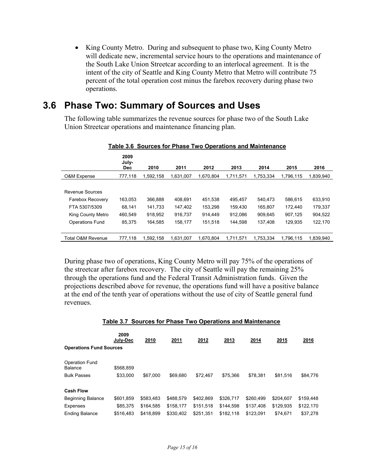• King County Metro. During and subsequent to phase two, King County Metro will dedicate new, incremental service hours to the operations and maintenance of the South Lake Union Streetcar according to an interlocal agreement. It is the intent of the city of Seattle and King County Metro that Metro will contribute 75 percent of the total operation cost minus the farebox recovery during phase two operations.

### **3.6 Phase Two: Summary of Sources and Uses**

The following table summarizes the revenue sources for phase two of the South Lake Union Streetcar operations and maintenance financing plan.

|                                                                                                     | 2009<br>July-<br><b>Dec</b>            | 2010                                     | 2011                                     | 2012                                     | 2013                                     | 2014                                     | 2015                                     | 2016                                     |
|-----------------------------------------------------------------------------------------------------|----------------------------------------|------------------------------------------|------------------------------------------|------------------------------------------|------------------------------------------|------------------------------------------|------------------------------------------|------------------------------------------|
| O&M Expense                                                                                         | 777,118                                | 1,592,158                                | 1,631,007                                | 1,670,804                                | 1,711,571                                | 1,753,334                                | 1,796,115                                | 1,839,940                                |
| Revenue Sources<br>Farebox Recovery<br>FTA 5307/5309<br>King County Metro<br><b>Operations Fund</b> | 163,053<br>68,141<br>460,549<br>85.375 | 366,888<br>141,733<br>918.952<br>164.585 | 408.691<br>147,402<br>916.737<br>158,177 | 451.538<br>153,298<br>914.449<br>151.518 | 495.457<br>159,430<br>912,086<br>144.598 | 540.473<br>165,807<br>909.645<br>137,408 | 586.615<br>172,440<br>907,125<br>129.935 | 633,910<br>179,337<br>904,522<br>122,170 |
| Total O&M Revenue                                                                                   | 777.118                                | 1.592.158                                | 1.631.007                                | 1.670.804                                | 1.711.571                                | 1.753.334                                | 1.796.115                                | 1.839.940                                |

### **Table 3.6 Sources for Phase Two Operations and Maintenance**

During phase two of operations, King County Metro will pay 75% of the operations of the streetcar after farebox recovery. The city of Seattle will pay the remaining 25% through the operations fund and the Federal Transit Administration funds. Given the projections described above for revenue, the operations fund will have a positive balance at the end of the tenth year of operations without the use of city of Seattle general fund revenues.

|                                  | 2009<br>July-Dec | 2010      | 2011      | 2012      | 2013      | 2014      | 2015      | 2016      |
|----------------------------------|------------------|-----------|-----------|-----------|-----------|-----------|-----------|-----------|
| <b>Operations Fund Sources</b>   |                  |           |           |           |           |           |           |           |
| <b>Operation Fund</b><br>Balance | \$568.859        |           |           |           |           |           |           |           |
| <b>Bulk Passes</b>               | \$33,000         | \$67,000  | \$69,680  | \$72.467  | \$75.366  | \$78.381  | \$81.516  | \$84,776  |
| <b>Cash Flow</b>                 |                  |           |           |           |           |           |           |           |
| <b>Beginning Balance</b>         | \$601.859        | \$583.483 | \$488,579 | \$402,869 | \$326,717 | \$260.499 | \$204.607 | \$159,448 |
| Expenses                         | \$85.375         | \$164.585 | \$158.177 | \$151.518 | \$144.598 | \$137.408 | \$129.935 | \$122,170 |
| <b>Ending Balance</b>            | \$516.483        | \$418.899 | \$330.402 | \$251.351 | \$182.118 | \$123.091 | \$74.671  | \$37,278  |